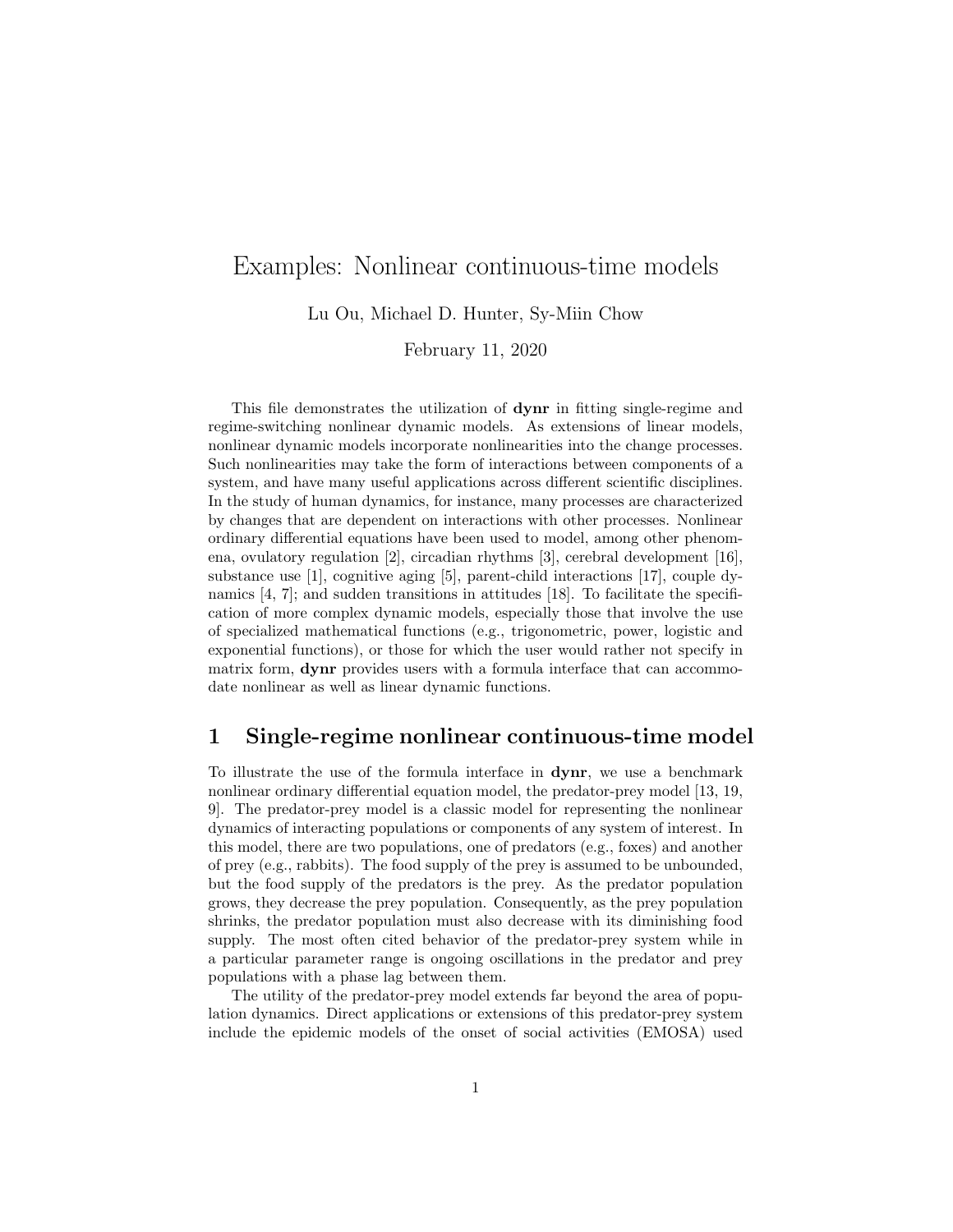# Examples: Nonlinear continuous-time models Lu Ou, Michael D. Hunter, Sy-Miin Chow

February 11, 2020

This file demonstrates the utilization of dynr in fitting single-regime and regime-switching nonlinear dynamic models. As extensions of linear models, nonlinear dynamic models incorporate nonlinearities into the change processes. Such nonlinearities may take the form of interactions between components of a system, and have many useful applications across different scientific disciplines. In the study of human dynamics, for instance, many processes are characterized by changes that are dependent on interactions with other processes. Nonlinear ordinary differential equations have been used to model, among other phenomena, ovulatory regulation [2], circadian rhythms [3], cerebral development [16], substance use [1], cognitive aging [5], parent-child interactions [17], couple dynamics  $(4, 7)$ ; and sudden transitions in attitudes  $(18)$ . To facilitate the specification of more complex dynamic models, especially those that involve the use of specialized mathematical functions (e.g., trigonometric, power, logistic and exponential functions), or those for which the user would rather not specify in matrix form, **dynr** provides users with a formula interface that can accommodate nonlinear as well as linear dynamic functions.

# 1 Single-regime nonlinear continuous-time model

To illustrate the use of the formula interface in dynr, we use a benchmark nonlinear ordinary differential equation model, the predator-prey model [13, 19, 9]. The predator-prey model is a classic model for representing the nonlinear dynamics of interacting populations or components of any system of interest. In this model, there are two populations, one of predators (e.g., foxes) and another of prey (e.g., rabbits). The food supply of the prey is assumed to be unbounded, but the food supply of the predators is the prey. As the predator population grows, they decrease the prey population. Consequently, as the prey population shrinks, the predator population must also decrease with its diminishing food supply. The most often cited behavior of the predator-prey system while in a particular parameter range is ongoing oscillations in the predator and prey populations with a phase lag between them.

The utility of the predator-prey model extends far beyond the area of population dynamics. Direct applications or extensions of this predator-prey system include the epidemic models of the onset of social activities (EMOSA) used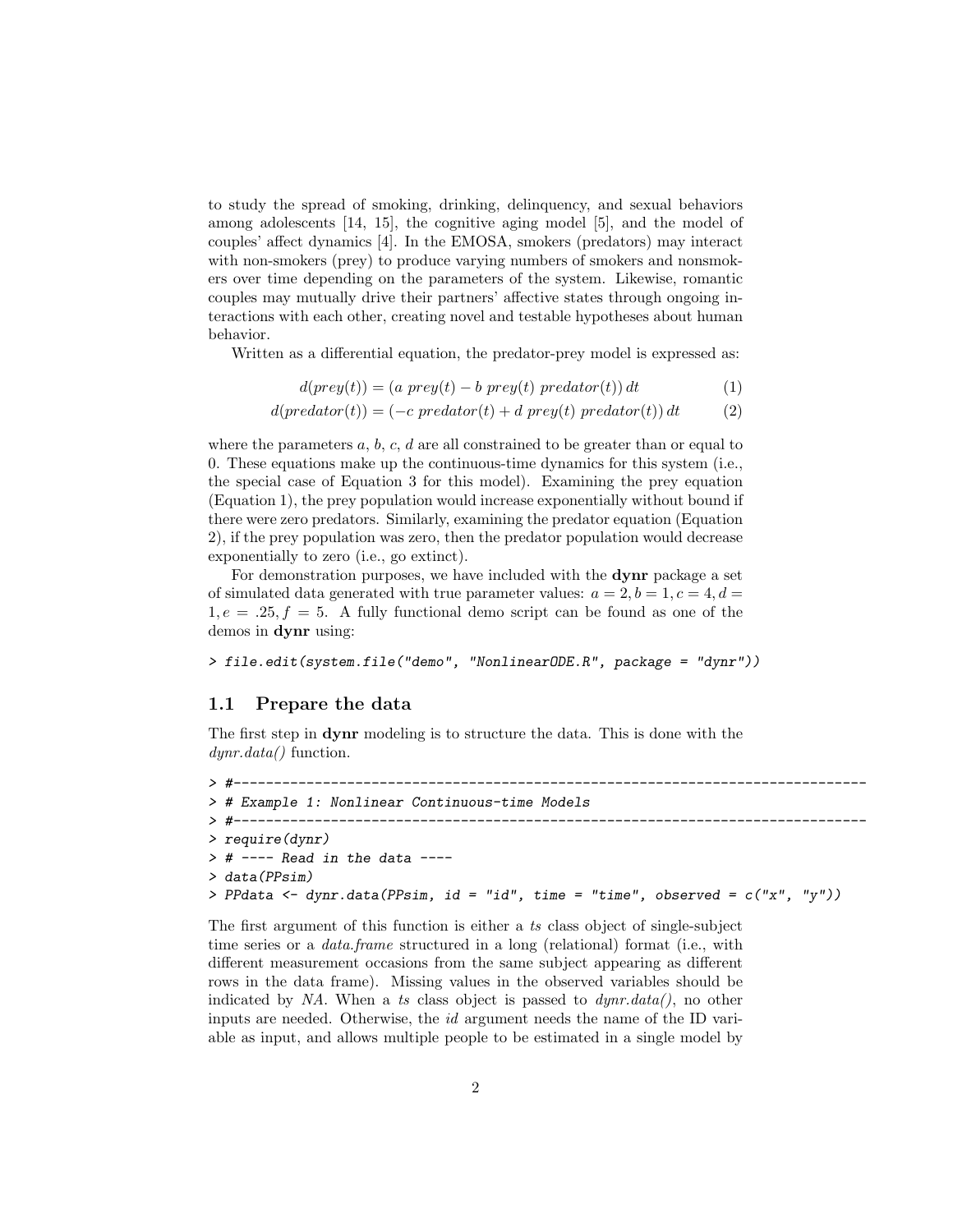to study the spread of smoking, drinking, delinquency, and sexual behaviors among adolescents [14, 15], the cognitive aging model [5], and the model of couples' affect dynamics [4]. In the EMOSA, smokers (predators) may interact with non-smokers (prey) to produce varying numbers of smokers and nonsmokers over time depending on the parameters of the system. Likewise, romantic couples may mutually drive their partners' affective states through ongoing interactions with each other, creating novel and testable hypotheses about human behavior.

Written as a differential equation, the predator-prey model is expressed as:

$$
d(prey(t)) = (a\ prey(t) - b\ prey(t)\ predator(t))\ dt \t\t(1)
$$

$$
d(predator(t)) = (-c\ predator(t) + d\ prey(t)\ predator(t)) dt \qquad (2)
$$

where the parameters  $a, b, c, d$  are all constrained to be greater than or equal to 0. These equations make up the continuous-time dynamics for this system (i.e., the special case of Equation 3 for this model). Examining the prey equation (Equation 1), the prey population would increase exponentially without bound if there were zero predators. Similarly, examining the predator equation (Equation 2), if the prey population was zero, then the predator population would decrease exponentially to zero (i.e., go extinct).

For demonstration purposes, we have included with the dynr package a set of simulated data generated with true parameter values:  $a = 2, b = 1, c = 4, d =$  $1, e = .25, f = 5$ . A fully functional demo script can be found as one of the demos in dynr using:

> file.edit(system.file("demo", "NonlinearODE.R", package = "dynr"))

## 1.1 Prepare the data

The first step in dynr modeling is to structure the data. This is done with the  $dynr.data()$  function.

```
> #------------------------------------------------------------------------------
> # Example 1: Nonlinear Continuous-time Models
> #------------------------------------------------------------------------------
> require(dynr)
> # ---- Read in the data ----
> data(PPsim)
> PPdata <- dynr.data(PPsim, id = "id", time = "time", observed = c("x", "y"))
```
The first argument of this function is either a ts class object of single-subject time series or a *data.frame* structured in a long (relational) format (i.e., with different measurement occasions from the same subject appearing as different rows in the data frame). Missing values in the observed variables should be indicated by NA. When a ts class object is passed to  $dynr.data(),$  no other inputs are needed. Otherwise, the id argument needs the name of the ID variable as input, and allows multiple people to be estimated in a single model by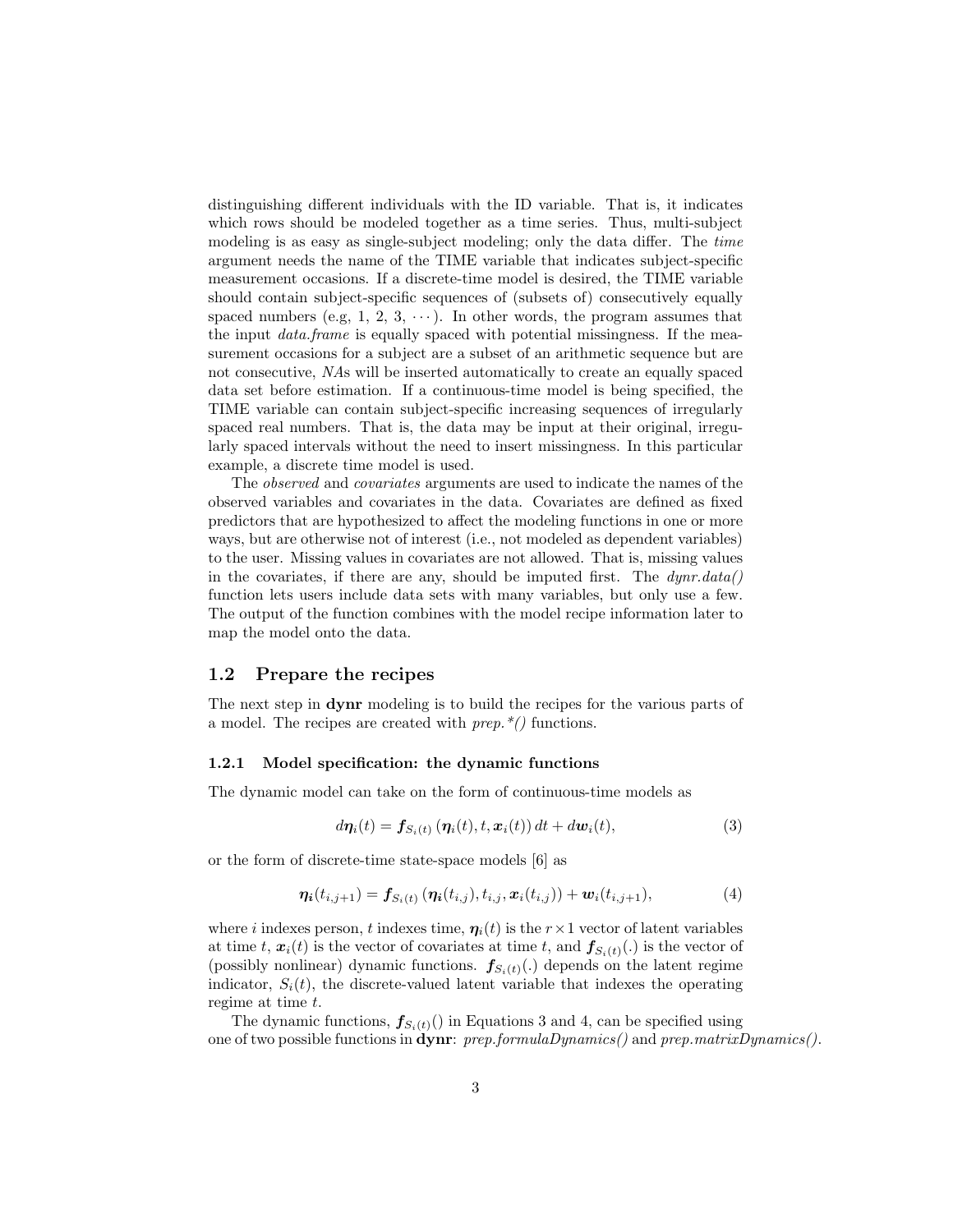distinguishing different individuals with the ID variable. That is, it indicates which rows should be modeled together as a time series. Thus, multi-subject modeling is as easy as single-subject modeling; only the data differ. The time argument needs the name of the TIME variable that indicates subject-specific measurement occasions. If a discrete-time model is desired, the TIME variable should contain subject-specific sequences of (subsets of) consecutively equally spaced numbers (e.g, 1, 2, 3,  $\cdots$ ). In other words, the program assumes that the input *data.frame* is equally spaced with potential missingness. If the measurement occasions for a subject are a subset of an arithmetic sequence but are not consecutive, NAs will be inserted automatically to create an equally spaced data set before estimation. If a continuous-time model is being specified, the TIME variable can contain subject-specific increasing sequences of irregularly spaced real numbers. That is, the data may be input at their original, irregularly spaced intervals without the need to insert missingness. In this particular example, a discrete time model is used.

The observed and covariates arguments are used to indicate the names of the observed variables and covariates in the data. Covariates are defined as fixed predictors that are hypothesized to affect the modeling functions in one or more ways, but are otherwise not of interest (i.e., not modeled as dependent variables) to the user. Missing values in covariates are not allowed. That is, missing values in the covariates, if there are any, should be imputed first. The  $dynr.data()$ function lets users include data sets with many variables, but only use a few. The output of the function combines with the model recipe information later to map the model onto the data.

# 1.2 Prepare the recipes

The next step in dynr modeling is to build the recipes for the various parts of a model. The recipes are created with  $prep.*()$  functions.

#### 1.2.1 Model specification: the dynamic functions

The dynamic model can take on the form of continuous-time models as

$$
d\boldsymbol{\eta}_i(t) = \boldsymbol{f}_{S_i(t)}\left(\boldsymbol{\eta}_i(t), t, \boldsymbol{x}_i(t)\right)dt + d\boldsymbol{w}_i(t),\tag{3}
$$

or the form of discrete-time state-space models [6] as

$$
\eta_i(t_{i,j+1}) = f_{S_i(t)}(\eta_i(t_{i,j}), t_{i,j}, \mathbf{x}_i(t_{i,j})) + \mathbf{w}_i(t_{i,j+1}),
$$
\n(4)

where i indexes person, t indexes time,  $\eta_i(t)$  is the  $r \times 1$  vector of latent variables at time t,  $\mathbf{x}_i(t)$  is the vector of covariates at time t, and  $\mathbf{f}_{S_i(t)}(.)$  is the vector of (possibly nonlinear) dynamic functions.  $f_{S_i(t)}(.)$  depends on the latent regime indicator,  $S_i(t)$ , the discrete-valued latent variable that indexes the operating regime at time  $t$ .

The dynamic functions,  $f_{S_i(t)}(t)$  in Equations 3 and 4, can be specified using one of two possible functions in dynr: prep.formulaDynamics() and prep.matrixDynamics().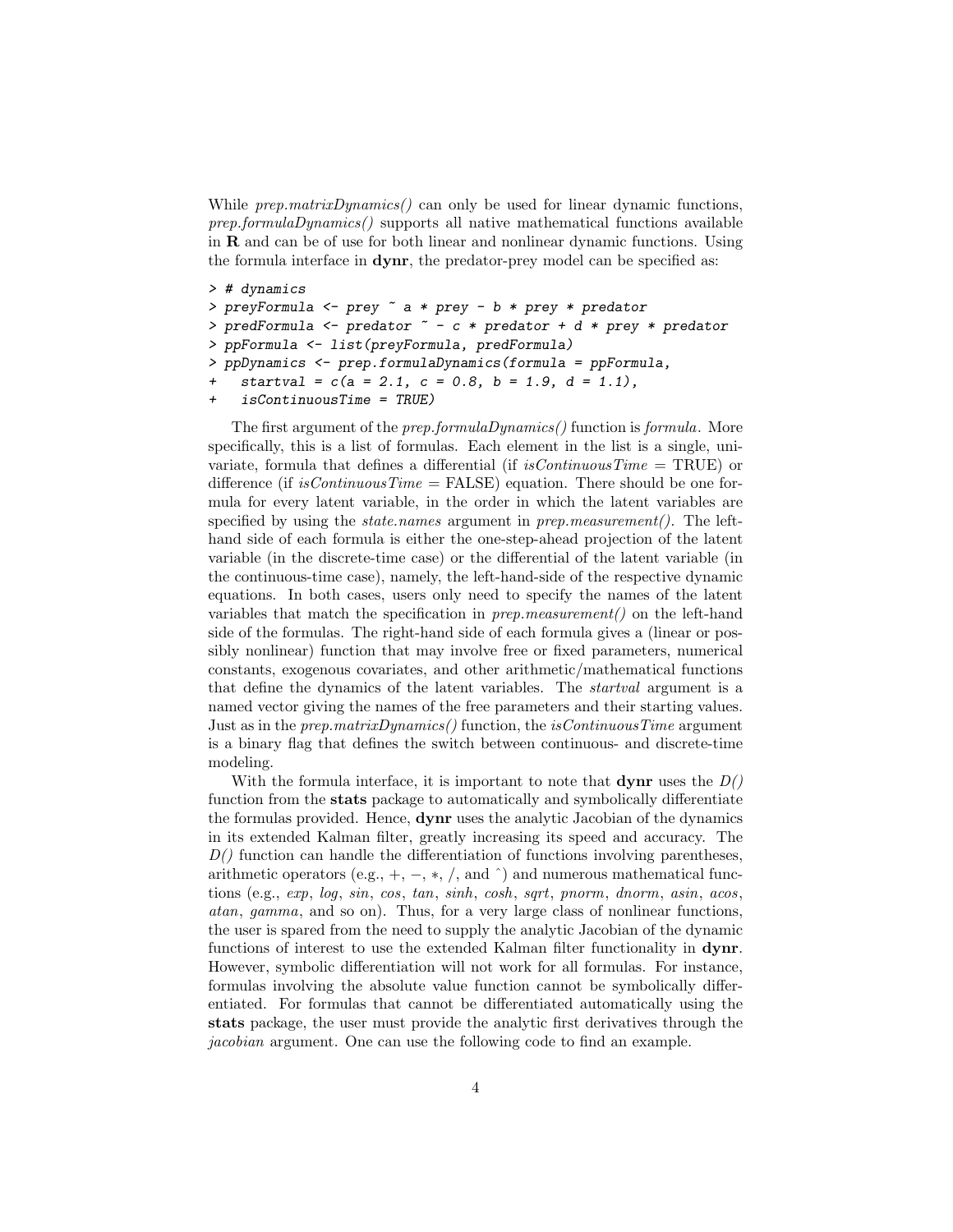While  $prep.matrixDynamics()$  can only be used for linear dynamic functions, prep.formulaDynamics() supports all native mathematical functions available in R and can be of use for both linear and nonlinear dynamic functions. Using the formula interface in dynr, the predator-prey model can be specified as:

```
> # dynamics
> preyFormula <- prey ~ a * prey - b * prey * predator
> predFormula <- predator \tilde{c} - c * predator + d * prey * predator
> ppFormula <- list(preyFormula, predFormula)
> ppDynamics <- prep.formulaDynamics(formula = ppFormula,
    startval = c(a = 2.1, c = 0.8, b = 1.9, d = 1.1),
+ isContinuousTime = TRUE)
```
The first argument of the *prep.formulaDynamics()* function is *formula*. More specifically, this is a list of formulas. Each element in the list is a single, univariate, formula that defines a differential (if  $isContinuous Time = TRUE$ ) or difference (if is Continuous Time  $=$  FALSE) equation. There should be one formula for every latent variable, in the order in which the latent variables are specified by using the *state.names* argument in *prep.measurement*(). The lefthand side of each formula is either the one-step-ahead projection of the latent variable (in the discrete-time case) or the differential of the latent variable (in the continuous-time case), namely, the left-hand-side of the respective dynamic equations. In both cases, users only need to specify the names of the latent variables that match the specification in  $prep-measurement()$  on the left-hand side of the formulas. The right-hand side of each formula gives a (linear or possibly nonlinear) function that may involve free or fixed parameters, numerical constants, exogenous covariates, and other arithmetic/mathematical functions that define the dynamics of the latent variables. The startval argument is a named vector giving the names of the free parameters and their starting values. Just as in the *prep.matrixDynamics()* function, the *isContinuousTime* argument is a binary flag that defines the switch between continuous- and discrete-time modeling.

With the formula interface, it is important to note that **dynr** uses the  $D()$ function from the stats package to automatically and symbolically differentiate the formulas provided. Hence, dynr uses the analytic Jacobian of the dynamics in its extended Kalman filter, greatly increasing its speed and accuracy. The  $D()$  function can handle the differentiation of functions involving parentheses, arithmetic operators (e.g.,  $+$ ,  $-$ ,  $*$ ,  $/$ , and  $\hat{}$ ) and numerous mathematical functions (e.g., exp, log, sin, cos, tan, sinh, cosh, sqrt, pnorm, dnorm, asin, acos, atan, gamma, and so on). Thus, for a very large class of nonlinear functions, the user is spared from the need to supply the analytic Jacobian of the dynamic functions of interest to use the extended Kalman filter functionality in dynr. However, symbolic differentiation will not work for all formulas. For instance, formulas involving the absolute value function cannot be symbolically differentiated. For formulas that cannot be differentiated automatically using the stats package, the user must provide the analytic first derivatives through the jacobian argument. One can use the following code to find an example.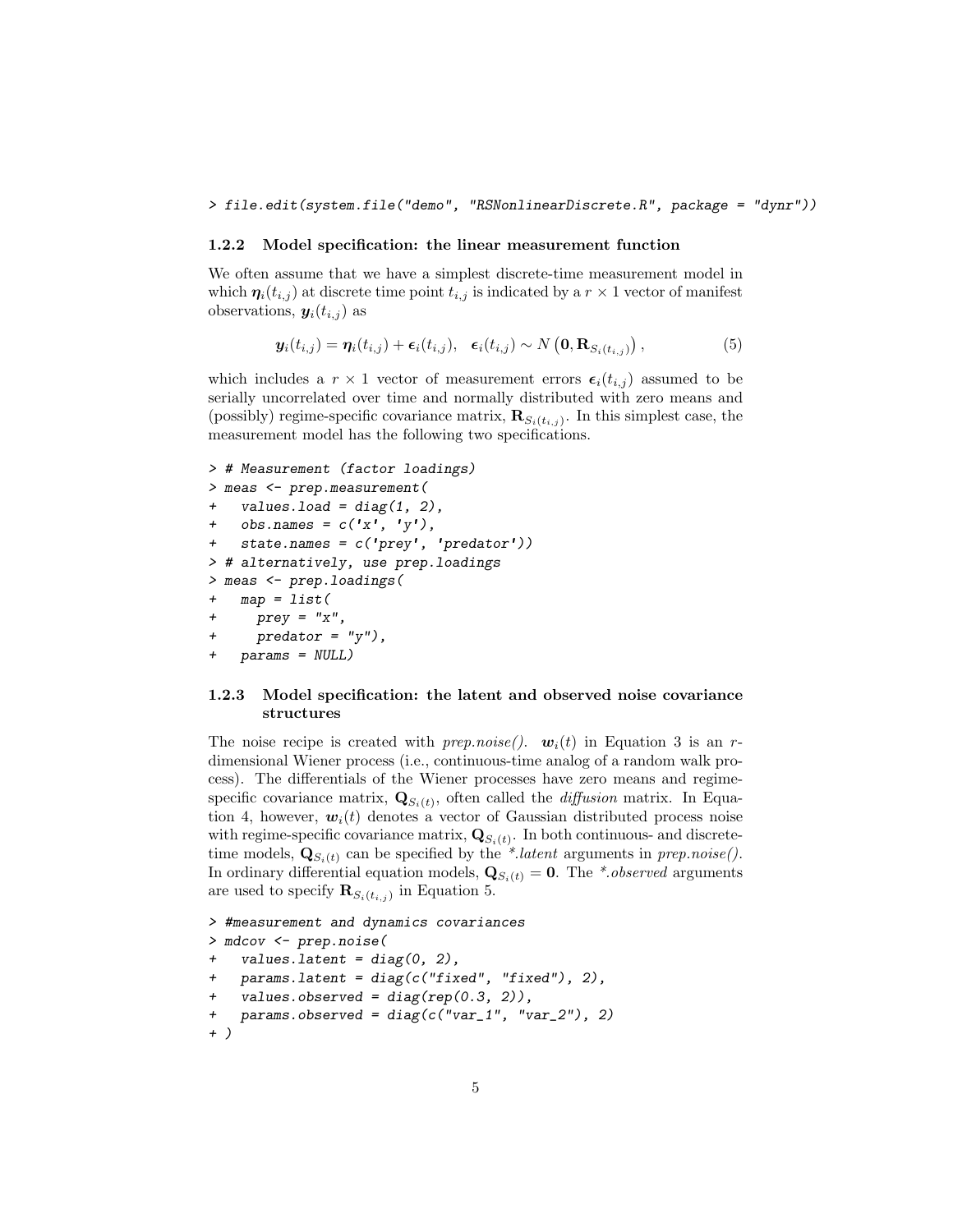#### > file.edit(system.file("demo", "RSNonlinearDiscrete.R", package = "dynr"))

#### 1.2.2 Model specification: the linear measurement function

We often assume that we have a simplest discrete-time measurement model in which  $\eta_i(t_{i,j})$  at discrete time point  $t_{i,j}$  is indicated by a  $r \times 1$  vector of manifest observations,  $y_i(t_{i,j})$  as

$$
\mathbf{y}_i(t_{i,j}) = \boldsymbol{\eta}_i(t_{i,j}) + \boldsymbol{\epsilon}_i(t_{i,j}), \quad \boldsymbol{\epsilon}_i(t_{i,j}) \sim N\left(\mathbf{0}, \mathbf{R}_{S_i(t_{i,j})}\right),\tag{5}
$$

which includes a  $r \times 1$  vector of measurement errors  $\epsilon_i(t_{i,j})$  assumed to be serially uncorrelated over time and normally distributed with zero means and (possibly) regime-specific covariance matrix,  $\mathbf{R}_{S_i(t_{i,j})}$ . In this simplest case, the measurement model has the following two specifications.

```
> # Measurement (factor loadings)
> meas <- prep.measurement(
    values.load = diag(1, 2),
    obs.name = c('x', 'y'),
    state.name = c('prey', 'predator'))> # alternatively, use prep.loadings
> meas <- prep.loadings(
   map = list(+ prey = "x",predator = "y"),
   params = NULL)
```
#### 1.2.3 Model specification: the latent and observed noise covariance structures

The noise recipe is created with prep.noise().  $w_i(t)$  in Equation 3 is an rdimensional Wiener process (i.e., continuous-time analog of a random walk process). The differentials of the Wiener processes have zero means and regimespecific covariance matrix,  $\mathbf{Q}_{S_i(t)}$ , often called the *diffusion* matrix. In Equation 4, however,  $w_i(t)$  denotes a vector of Gaussian distributed process noise with regime-specific covariance matrix,  $\mathbf{Q}_{S_i(t)}$ . In both continuous- and discretetime models,  $\mathbf{Q}_{S_i(t)}$  can be specified by the \*.latent arguments in prep.noise(). In ordinary differential equation models,  $\mathbf{Q}_{S_i(t)} = \mathbf{0}$ . The \*.*observed* arguments are used to specify  $\mathbf{R}_{S_i(t_{i,j})}$  in Equation 5.

```
> #measurement and dynamics covariances
> mdcov <- prep.noise(
    values. latent = diag(0, 2),
   params. latent = diag(c("fixed", "fixed"), 2),
   values.observed = diag(rep(0.3, 2)),
   params. observed = diag(c("var_1", "var_2"), 2)+ )
```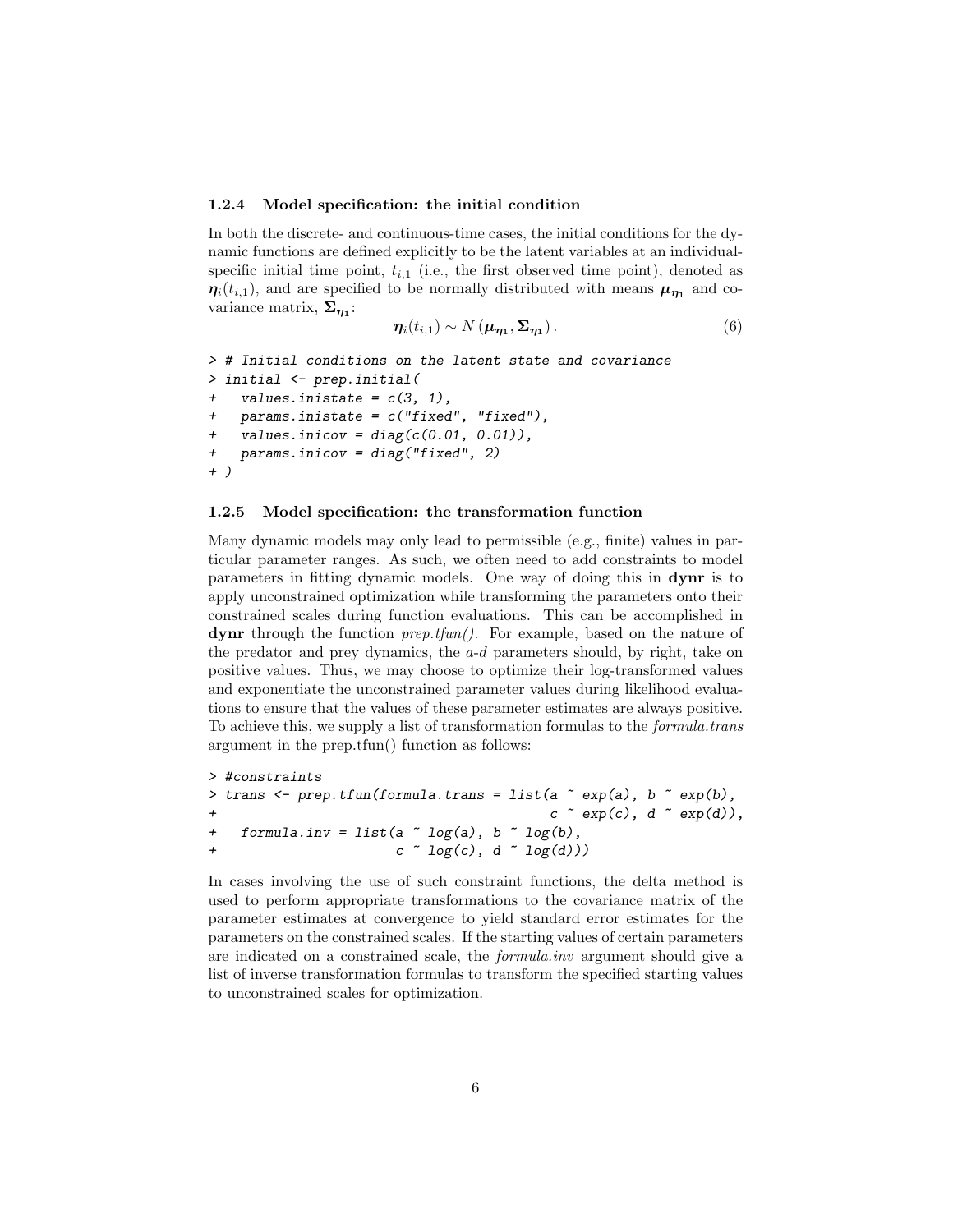#### 1.2.4 Model specification: the initial condition

In both the discrete- and continuous-time cases, the initial conditions for the dynamic functions are defined explicitly to be the latent variables at an individualspecific initial time point,  $t_{i,1}$  (i.e., the first observed time point), denoted as  $\eta_i(t_{i,1})$ , and are specified to be normally distributed with means  $\mu_{\eta_1}$  and covariance matrix,  $\Sigma_{\eta_1}$ :

$$
\eta_i(t_{i,1}) \sim N(\boldsymbol{\mu}_{\boldsymbol{\eta}_1}, \boldsymbol{\Sigma}_{\boldsymbol{\eta}_1}). \tag{6}
$$

```
> # Initial conditions on the latent state and covariance
> initial <- prep.initial(
   values.inistate = c(3, 1),
   params.inistate = c("fixed", "fixed"),values.inicov = diag(c(0.01, 0.01)),
+ params.inicov = diag("fixed", 2)
+ )
```
#### 1.2.5 Model specification: the transformation function

Many dynamic models may only lead to permissible (e.g., finite) values in particular parameter ranges. As such, we often need to add constraints to model parameters in fitting dynamic models. One way of doing this in dynr is to apply unconstrained optimization while transforming the parameters onto their constrained scales during function evaluations. This can be accomplished in dynr through the function  $prep.tfun()$ . For example, based on the nature of the predator and prey dynamics, the  $a-d$  parameters should, by right, take on positive values. Thus, we may choose to optimize their log-transformed values and exponentiate the unconstrained parameter values during likelihood evaluations to ensure that the values of these parameter estimates are always positive. To achieve this, we supply a list of transformation formulas to the formula.trans argument in the prep.tfun() function as follows:

```
> #constraints
> trans <- prep.tfun(formula.trans = list(a \tilde{ } exp(a), b \tilde{ } exp(b),
\begin{pmatrix} c & \text{exp}(c), d & \text{exp}(d) \end{pmatrix},
+ formula.inv = list(a \tilde{a} log(a), b \tilde{b} log(b),
                           c \sim log(c), d \sim log(d)))
```
In cases involving the use of such constraint functions, the delta method is used to perform appropriate transformations to the covariance matrix of the parameter estimates at convergence to yield standard error estimates for the parameters on the constrained scales. If the starting values of certain parameters are indicated on a constrained scale, the formula.inv argument should give a list of inverse transformation formulas to transform the specified starting values to unconstrained scales for optimization.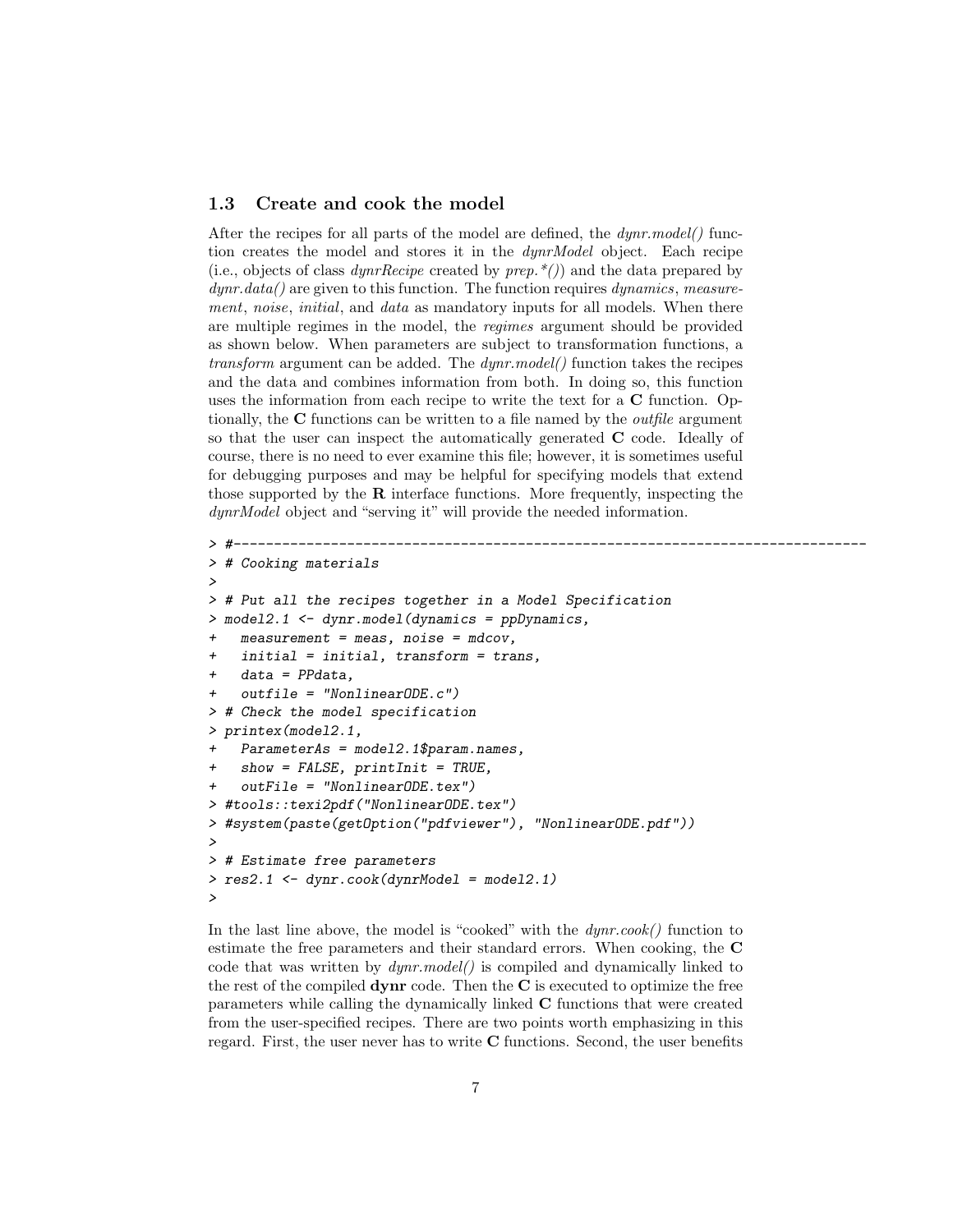## 1.3 Create and cook the model

After the recipes for all parts of the model are defined, the  $dynr_model()$  function creates the model and stores it in the dynrModel object. Each recipe (i.e., objects of class *dynrRecipe* created by  $prep.*()$ ) and the data prepared by  $dynr.data()$  are given to this function. The function requires  $dynamics, measure$ ment, noise, initial, and data as mandatory inputs for all models. When there are multiple regimes in the model, the regimes argument should be provided as shown below. When parameters are subject to transformation functions, a transform argument can be added. The dynr.model() function takes the recipes and the data and combines information from both. In doing so, this function uses the information from each recipe to write the text for a C function. Optionally, the  $C$  functions can be written to a file named by the *outfile* argument so that the user can inspect the automatically generated C code. Ideally of course, there is no need to ever examine this file; however, it is sometimes useful for debugging purposes and may be helpful for specifying models that extend those supported by the  $\bf R$  interface functions. More frequently, inspecting the dynrModel object and "serving it" will provide the needed information.

```
> #------------------------------------------------------------------------------
> # Cooking materials
>
> # Put all the recipes together in a Model Specification
> model2.1 <- dynr.model(dynamics = ppDynamics,
   measurement = meas, noise = mdcov,initial = initial, transform = trans,data = PPdata,
    outfile = "NonlinearODE.c")> # Check the model specification
> printex(model2.1,
   Parameters = model2.1$param. names,show = FALSE, printInit = TRUE,outFile = "NonlinearODE.text")> #tools::texi2pdf("NonlinearODE.tex")
> #system(paste(getOption("pdfviewer"), "NonlinearODE.pdf"))
>
> # Estimate free parameters
> res2.1 <- dynr.cook(dynrModel = model2.1)
>
```
In the last line above, the model is "cooked" with the  $dynr.cook()$  function to estimate the free parameters and their standard errors. When cooking, the C code that was written by dynr.model() is compiled and dynamically linked to the rest of the compiled  $\bf{dynr}$  code. Then the C is executed to optimize the free parameters while calling the dynamically linked C functions that were created from the user-specified recipes. There are two points worth emphasizing in this regard. First, the user never has to write C functions. Second, the user benefits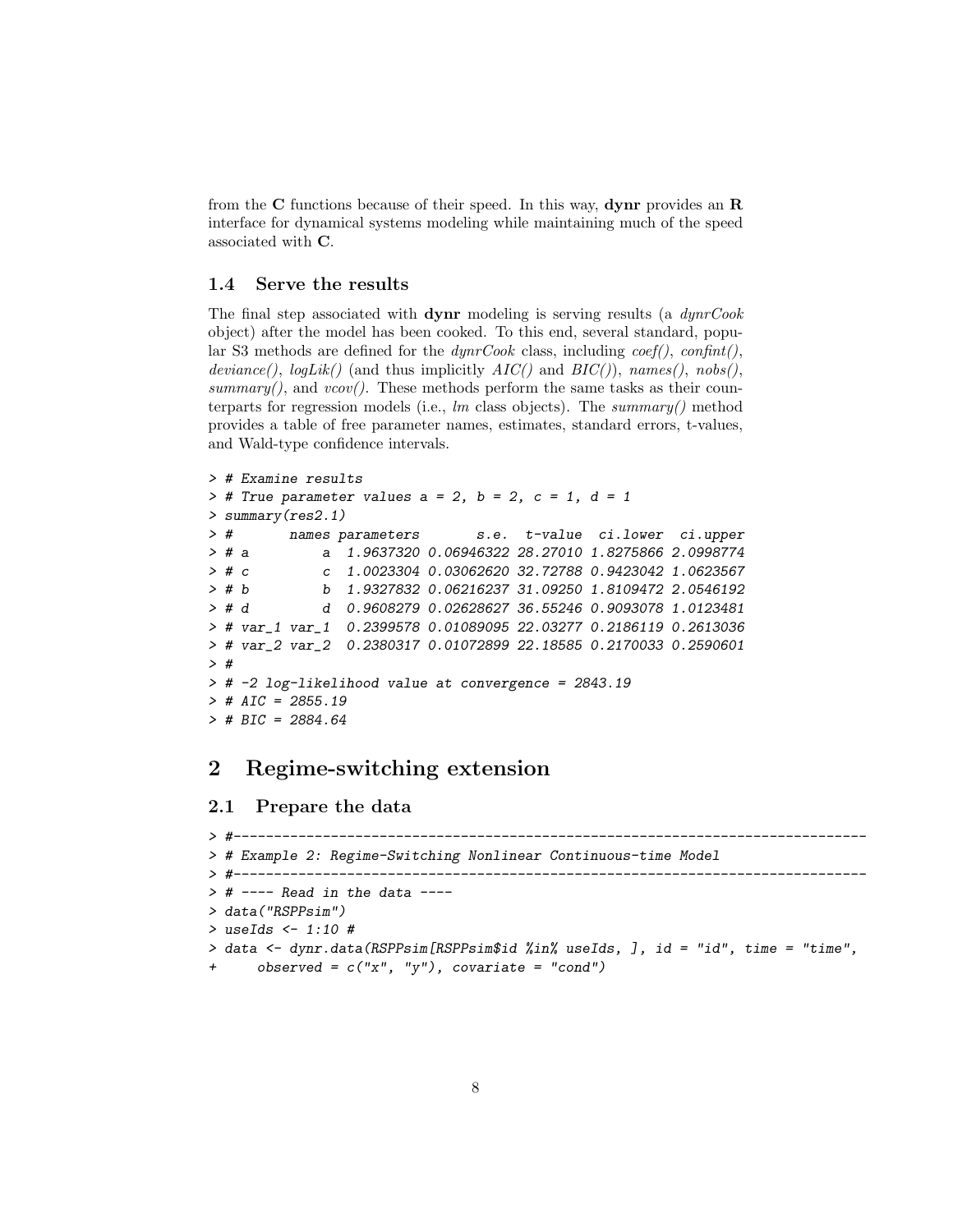from the  $C$  functions because of their speed. In this way, **dynr** provides an  $R$ interface for dynamical systems modeling while maintaining much of the speed associated with C.

# 1.4 Serve the results

The final step associated with **dynr** modeling is serving results (a  $dynrCook$ object) after the model has been cooked. To this end, several standard, popular S3 methods are defined for the  $dynrCook$  class, including  $coef(),$   $confint(),$ deviance(),  $logLik()$  (and thus implicitly  $AIC()$  and  $BIC()$ ), names(), nobs(), summary(), and  $vcov()$ . These methods perform the same tasks as their counterparts for regression models (i.e.,  $lm$  class objects). The summary() method provides a table of free parameter names, estimates, standard errors, t-values, and Wald-type confidence intervals.

```
> # Examine results
> # True parameter values a = 2, b = 2, c = 1, d = 1
> summary(res2.1)
> # names parameters s.e. t-value ci.lower ci.upper
> # a a 1.9637320 0.06946322 28.27010 1.8275866 2.0998774
> # c c 1.0023304 0.03062620 32.72788 0.9423042 1.0623567
> # b b 1.9327832 0.06216237 31.09250 1.8109472 2.0546192
> # d d 0.9608279 0.02628627 36.55246 0.9093078 1.0123481
> # var_1 var_1 0.2399578 0.01089095 22.03277 0.2186119 0.2613036
> # var_2 var_2 0.2380317 0.01072899 22.18585 0.2170033 0.2590601
> #
> # -2 log-likelihood value at convergence = 2843.19
> # AIC = 2855.19
> # BIC = 2884.64
```
# 2 Regime-switching extension

#### 2.1 Prepare the data

```
> #------------------------------------------------------------------------------
> # Example 2: Regime-Switching Nonlinear Continuous-time Model
> #------------------------------------------------------------------------------
> # ---- Read in the data ----
> data("RSPPsim")
> useIds <- 1:10 #
> data <- dynr.data(RSPPsim[RSPPsim$id %in% useIds, ], id = "id", time = "time",
      observed = c("x", "y"), covariate = "cond")
```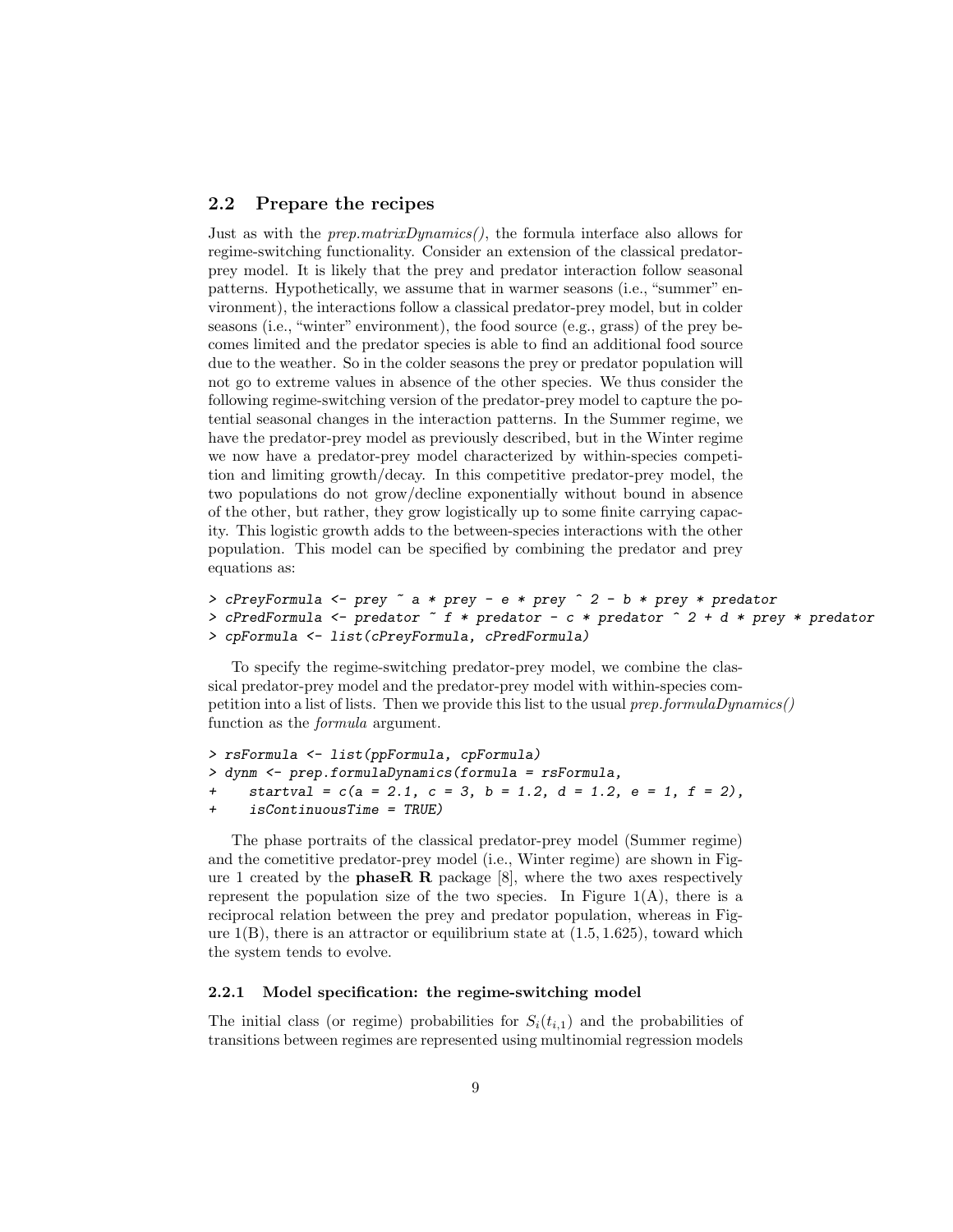# 2.2 Prepare the recipes

Just as with the *prep.matrixDynamics()*, the formula interface also allows for regime-switching functionality. Consider an extension of the classical predatorprey model. It is likely that the prey and predator interaction follow seasonal patterns. Hypothetically, we assume that in warmer seasons (i.e., "summer" environment), the interactions follow a classical predator-prey model, but in colder seasons (i.e., "winter" environment), the food source (e.g., grass) of the prey becomes limited and the predator species is able to find an additional food source due to the weather. So in the colder seasons the prey or predator population will not go to extreme values in absence of the other species. We thus consider the following regime-switching version of the predator-prey model to capture the potential seasonal changes in the interaction patterns. In the Summer regime, we have the predator-prey model as previously described, but in the Winter regime we now have a predator-prey model characterized by within-species competition and limiting growth/decay. In this competitive predator-prey model, the two populations do not grow/decline exponentially without bound in absence of the other, but rather, they grow logistically up to some finite carrying capacity. This logistic growth adds to the between-species interactions with the other population. This model can be specified by combining the predator and prey equations as:

```
> cPreyFormula <- prey ~ a * prey - e * prey ^ 2 - b * prey * predator
> cPredFormula <- predator ~ f * predator - c * predator ^ 2 + d * prey * predator
> cpFormula <- list(cPreyFormula, cPredFormula)
```
To specify the regime-switching predator-prey model, we combine the classical predator-prey model and the predator-prey model with within-species competition into a list of lists. Then we provide this list to the usual  $prep.formataDynamics()$ function as the formula argument.

```
> rsFormula <- list(ppFormula, cpFormula)
> dynm <- prep.formulaDynamics(formula = rsFormula,
     startval = c(a = 2.1, c = 3, b = 1.2, d = 1.2, e = 1, f = 2),
+ isContinuousTime = TRUE)
```
The phase portraits of the classical predator-prey model (Summer regime) and the cometitive predator-prey model (i.e., Winter regime) are shown in Figure 1 created by the **phaseR R** package  $[8]$ , where the two axes respectively represent the population size of the two species. In Figure  $1(A)$ , there is a reciprocal relation between the prey and predator population, whereas in Figure  $1(B)$ , there is an attractor or equilibrium state at  $(1.5, 1.625)$ , toward which the system tends to evolve.

## 2.2.1 Model specification: the regime-switching model

The initial class (or regime) probabilities for  $S_i(t_{i,1})$  and the probabilities of transitions between regimes are represented using multinomial regression models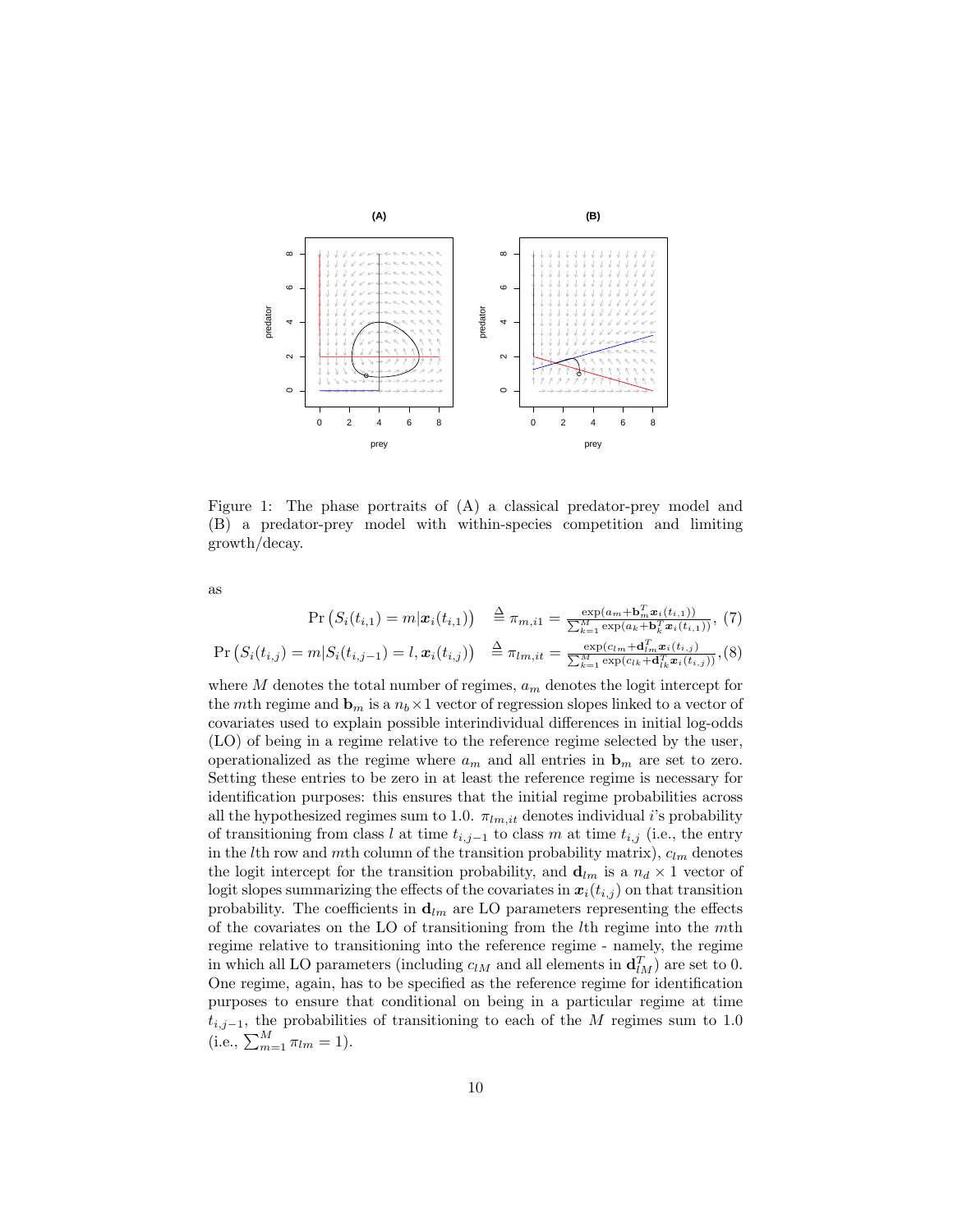

Figure 1: The phase portraits of (A) a classical predator-prey model and (B) a predator-prey model with within-species competition and limiting growth/decay.

as

$$
\Pr\left(S_i(t_{i,1}) = m | \mathbf{x}_i(t_{i,1})\right) \stackrel{\Delta}{=} \pi_{m,i1} = \frac{\exp(a_m + \mathbf{b}_m^T \mathbf{x}_i(t_{i,1}))}{\sum_{k=1}^M \exp(a_k + \mathbf{b}_k^T \mathbf{x}_i(t_{i,1}))}, (7)
$$
\n
$$
\Pr\left(S_i(t_{i,j}) = m | S_i(t_{i,j-1}) = l, \mathbf{x}_i(t_{i,j})\right) \stackrel{\Delta}{=} \pi_{lm, it} = \frac{\exp(c_{lm} + \mathbf{d}_m^T \mathbf{x}_i(t_{i,j}))}{\sum_{k=1}^M \exp(c_{lk} + \mathbf{d}_m^T \mathbf{x}_i(t_{i,j}))}, (8)
$$

where  $M$  denotes the total number of regimes,  $a_m$  denotes the logit intercept for the mth regime and  $\mathbf{b}_m$  is a  $n_b \times 1$  vector of regression slopes linked to a vector of covariates used to explain possible interindividual differences in initial log-odds (LO) of being in a regime relative to the reference regime selected by the user, operationalized as the regime where  $a_m$  and all entries in  $\mathbf{b}_m$  are set to zero. Setting these entries to be zero in at least the reference regime is necessary for identification purposes: this ensures that the initial regime probabilities across all the hypothesized regimes sum to 1.0.  $\pi_{lm,it}$  denotes individual i's probability of transitioning from class l at time  $t_{i,j-1}$  to class m at time  $t_{i,j}$  (i.e., the entry in the *l*th row and *mth* column of the transition probability matrix),  $c_{lm}$  denotes the logit intercept for the transition probability, and  $\mathbf{d}_{lm}$  is a  $n_d \times 1$  vector of logit slopes summarizing the effects of the covariates in  $x_i(t_{i,j})$  on that transition probability. The coefficients in  $\mathbf{d}_{lm}$  are LO parameters representing the effects of the covariates on the LO of transitioning from the lth regime into the mth regime relative to transitioning into the reference regime - namely, the regime in which all LO parameters (including  $c_{lM}$  and all elements in  $\mathbf{d}_{lM}^T$ ) are set to 0. One regime, again, has to be specified as the reference regime for identification purposes to ensure that conditional on being in a particular regime at time  $t_{i,j-1}$ , the probabilities of transitioning to each of the M regimes sum to 1.0 (i.e.,  $\sum_{m=1}^{M} \pi_{lm} = 1$ ).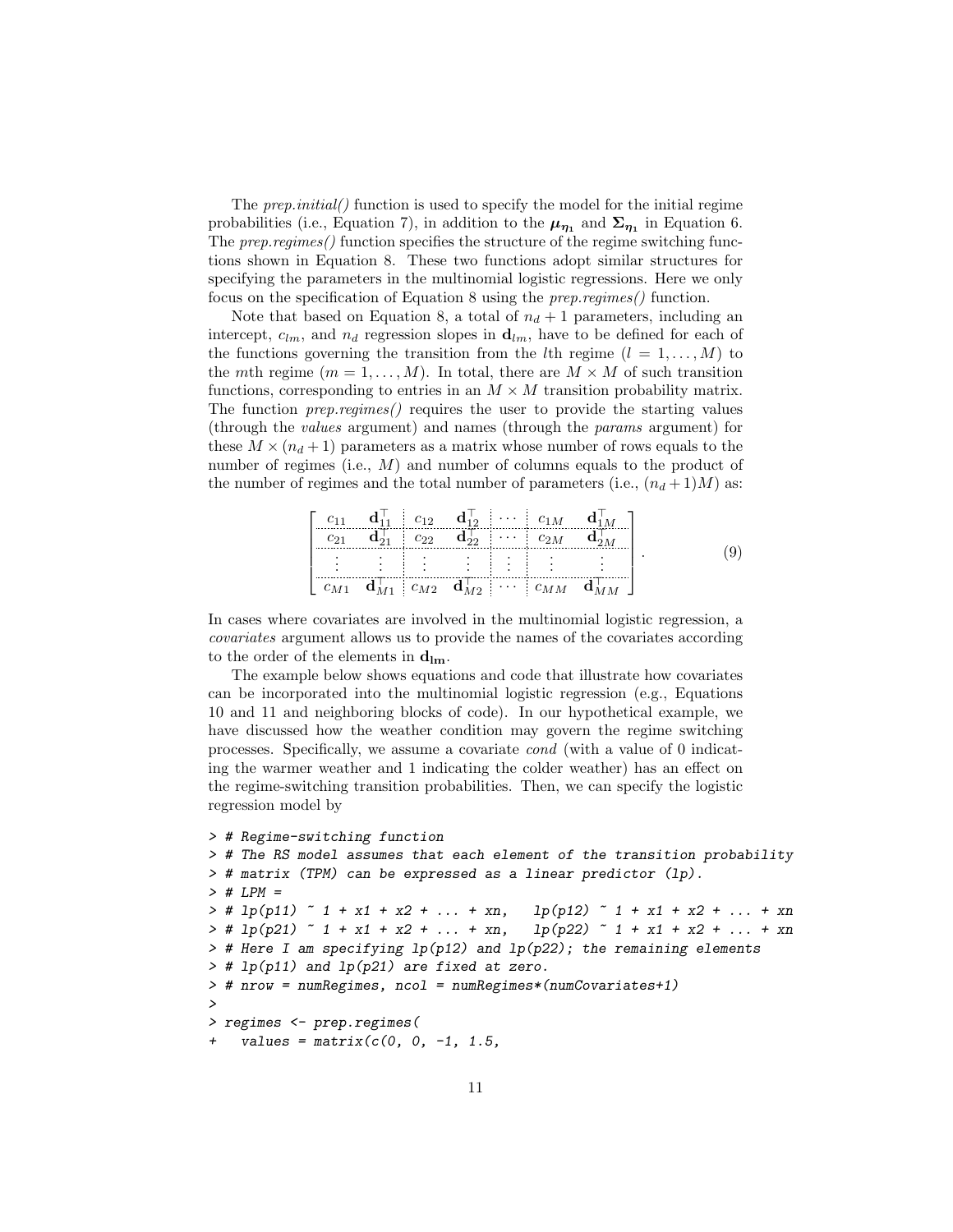The *prep.initial*() function is used to specify the model for the initial regime probabilities (i.e., Equation 7), in addition to the  $\mu_{\eta_1}$  and  $\Sigma_{\eta_1}$  in Equation 6. The prep.regimes() function specifies the structure of the regime switching functions shown in Equation 8. These two functions adopt similar structures for specifying the parameters in the multinomial logistic regressions. Here we only focus on the specification of Equation 8 using the prep.regimes() function.

Note that based on Equation 8, a total of  $n_d + 1$  parameters, including an intercept,  $c_{lm}$ , and  $n_d$  regression slopes in  $\mathbf{d}_{lm}$ , have to be defined for each of the functions governing the transition from the lth regime  $(l = 1, \ldots, M)$  to the mth regime  $(m = 1, ..., M)$ . In total, there are  $M \times M$  of such transition functions, corresponding to entries in an  $M \times M$  transition probability matrix. The function  $prep\text{.}regimes()$  requires the user to provide the starting values (through the values argument) and names (through the params argument) for these  $M \times (n_d + 1)$  parameters as a matrix whose number of rows equals to the number of regimes (i.e., M) and number of columns equals to the product of the number of regimes and the total number of parameters (i.e.,  $(n_d+1)M$ ) as:

$$
\begin{bmatrix} c_{11} & \mathbf{d}_{11}^{\top} & c_{12} & \mathbf{d}_{12}^{\top} & \cdots & c_{1M} & \mathbf{d}_{1M}^{\top} \\ c_{21} & \mathbf{d}_{21}^{\top} & c_{22} & \mathbf{d}_{22}^{\top} & \cdots & c_{2M} & \mathbf{d}_{2M}^{\top} \\ \vdots & \vdots & \vdots & \vdots & \vdots & \vdots \\ c_{M1} & \mathbf{d}_{M1} & c_{M2} & \mathbf{d}_{M2} & \cdots & c_{MM} & \mathbf{d}_{MM} \end{bmatrix}.
$$
 (9)

In cases where covariates are involved in the multinomial logistic regression, a covariates argument allows us to provide the names of the covariates according to the order of the elements in  $\mathbf{d}_{\text{lm}}$ .

The example below shows equations and code that illustrate how covariates can be incorporated into the multinomial logistic regression (e.g., Equations 10 and 11 and neighboring blocks of code). In our hypothetical example, we have discussed how the weather condition may govern the regime switching processes. Specifically, we assume a covariate cond (with a value of 0 indicating the warmer weather and 1 indicating the colder weather) has an effect on the regime-switching transition probabilities. Then, we can specify the logistic regression model by

```
> # Regime-switching function
> # The RS model assumes that each element of the transition probability
> # matrix (TPM) can be expressed as a linear predictor (lp).
> # LPM => # lp(p11) \degree 1 + x1 + x2 + ... + xn, lp(p12) \degree 1 + x1 + x2 + ... + xn
> # lp(p21) \degree 1 + x1 + x2 + ... + xn, lp(p22) \degree 1 + x1 + x2 + ... + xn
> # Here I am specifying 1p(p12) and 1p(p22); the remaining elements
> # lp(p11) and lp(p21) are fixed at zero.
> # nrow = numRegimes, ncol = numRegimes*(numCovariates+1)
>
> regimes <- prep.regimes(
    values = matrix(c(0, 0, -1, 1.5,
```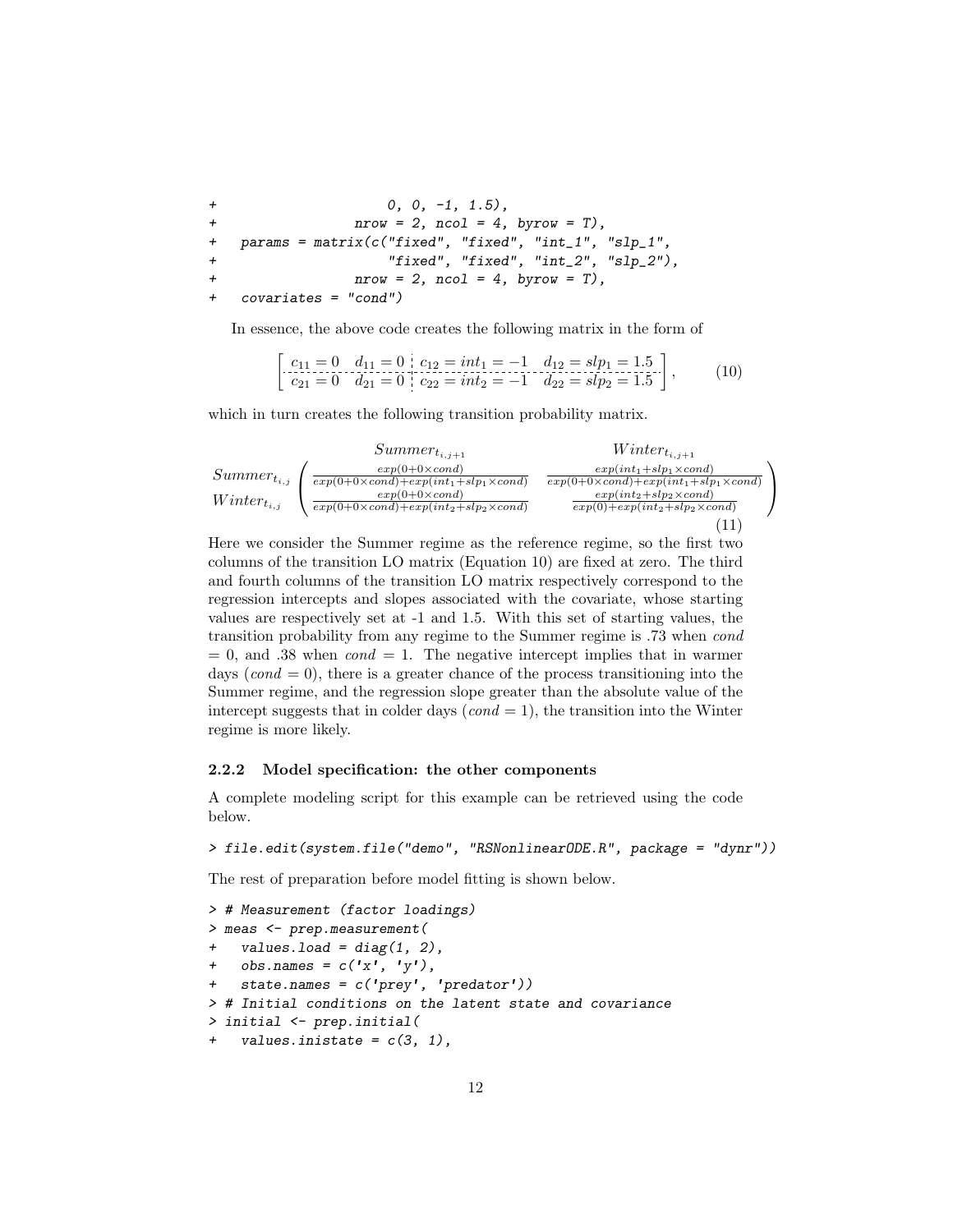$+$  0, 0, -1, 1.5), +  $nrow = 2$ ,  $ncol = 4$ ,  $byrow = T$ ),  $params = matrix(c("fixed", "fixed", "int_1", "slp_1",$ + "fixed", "fixed", "int\_2", "slp\_2"),  $nrow = 2$ ,  $ncol = 4$ ,  $byrow = T$ ), + covariates = "cond")

In essence, the above code creates the following matrix in the form of

$$
\begin{bmatrix} c_{11} = 0 & d_{11} = 0 & c_{12} = int_1 = -1 & d_{12} = slp_1 = 1.5 \\ c_{21} = 0 & d_{21} = 0 & c_{22} = int_2 = -1 & d_{22} = slp_2 = 1.5 \end{bmatrix},
$$
(10)

which in turn creates the following transition probability matrix.

$$
Summer_{t_{i,j}} \left( \frac{exp(0+0\times cond)}{exp(0+0\times cond)+exp(int_1+slp_1\times cond)} \frac{exp(int_1+slp_1\times cond)}{exp(0+0\times cond)+exp(int_1+slp_1\times cond)} \frac{exp(int_1+slp_1\times cond)}{exp(0+0\times cond)} \frac{exp(int_1+slp_1\times cond)}{exp(int_2+slp_2\times cond)} \frac{exp(int_1+slp_1\times cond)}{exp(0)+exp(int_2+slp_2\times cond)} \right)
$$
\n(11)

Here we consider the Summer regime as the reference regime, so the first two columns of the transition LO matrix (Equation 10) are fixed at zero. The third and fourth columns of the transition LO matrix respectively correspond to the regression intercepts and slopes associated with the covariate, whose starting values are respectively set at -1 and 1.5. With this set of starting values, the transition probability from any regime to the Summer regime is .73 when cond  $= 0$ , and .38 when  $cond = 1$ . The negative intercept implies that in warmer days  $(cond = 0)$ , there is a greater chance of the process transitioning into the Summer regime, and the regression slope greater than the absolute value of the intercept suggests that in colder days  $(cond = 1)$ , the transition into the Winter regime is more likely.

#### 2.2.2 Model specification: the other components

A complete modeling script for this example can be retrieved using the code below.

```
> file.edit(system.file("demo", "RSNonlinearODE.R", package = "dynr"))
```
The rest of preparation before model fitting is shown below.

```
> # Measurement (factor loadings)
> meas <- prep.measurement(
+ values.load = diag(1, 2),
    obs.name = c('x', 'y'),
    state.name = c('prey', 'predator'))> # Initial conditions on the latent state and covariance
> initial <- prep.initial(
    values.inistate = c(3, 1),
```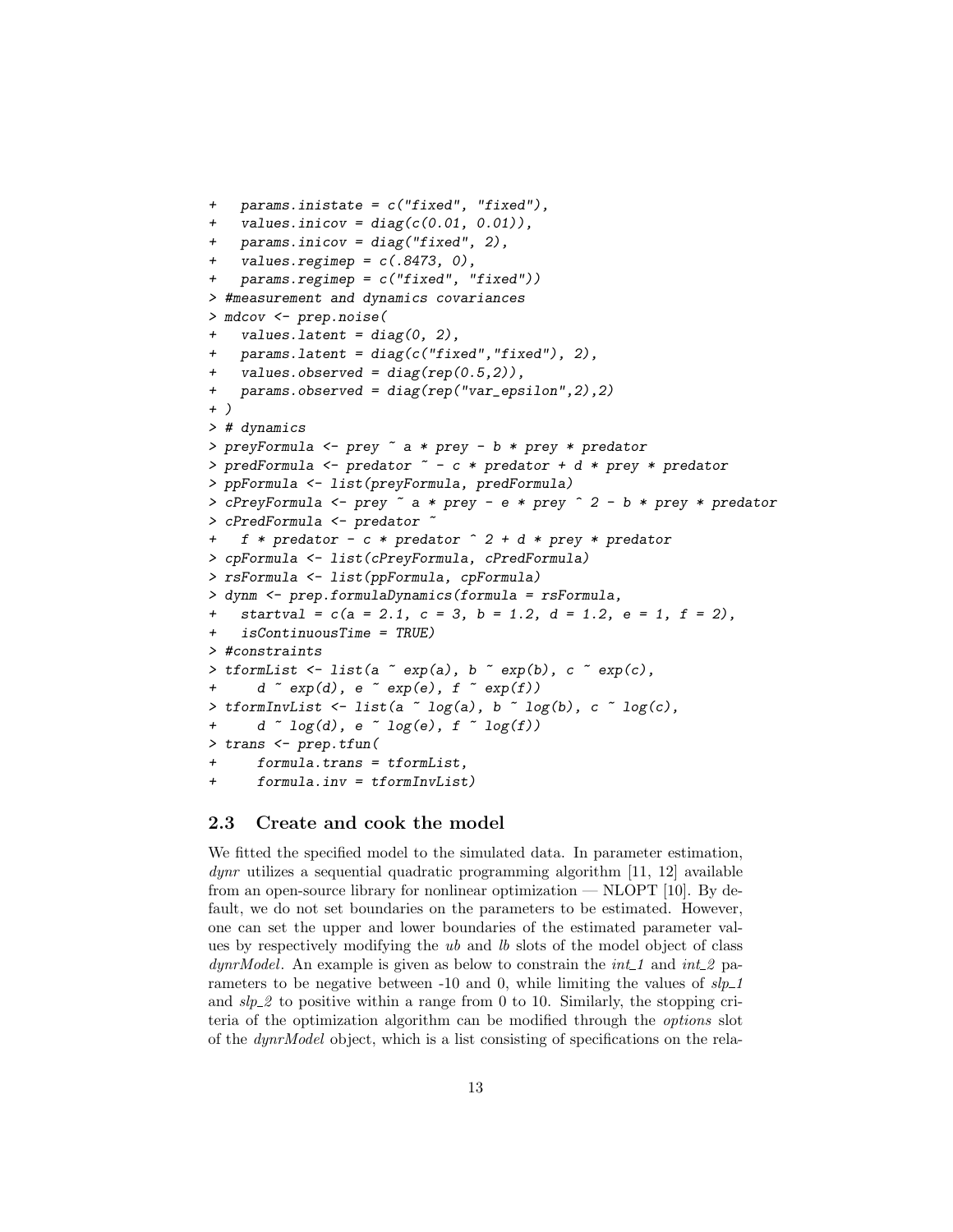```
+ params.inistate = c("fixed", "fixed"),
+ values.inicov = diag(c(0.01, 0.01)),
   params.inicov = diag("fixed", 2),values.regimep = c(.8473, 0),
    params.\nregimep = c("fixed", "fixed"))> #measurement and dynamics covariances
> mdcov <- prep.noise(
    values. latent = diag(0, 2),
    params. latent = diag(c('fixed'', 'fixed''), 2),
    values.observed = diag(rep(0.5,2)),
    params. observed = diag(rep("var_epsilonion",2),2)+ )
> # dynamics
> preyFormula <- prey ~ a * prey - b * prey * predator
> predFormula <- predator ~ - c * predator + d * prey * predator
> ppFormula <- list(preyFormula, predFormula)
> cPreyFormula <- prey ~ a * prey - e * prey ^ 2 - b * prey * predator
> cPredFormula <- predator ~
    f * predator - c * predator ^ 2 + d * prey * predator> cpFormula <- list(cPreyFormula, cPredFormula)
> rsFormula <- list(ppFormula, cpFormula)
> dynm <- prep.formulaDynamics(formula = rsFormula,
    startval = c(a = 2.1, c = 3, b = 1.2, d = 1.2, e = 1, f = 2),
    isContinuous Time = TRUE)
> #constraints
> tformList \le list(a \in exp(a), b \in exp(b), c \in exp(c),
      d \sim exp(d), e \sim exp(e), f \sim exp(f))
> tformInvList \le list(a \sim log(a), b \sim log(b), c \sim log(c),
      d \sim log(d), e \sim log(e), f \sim log(f))
> trans <- prep.tfun(
      formula.trans = tformList,formula.inv = tformInvList)
```
## 2.3 Create and cook the model

We fitted the specified model to the simulated data. In parameter estimation,  $dynr$  utilizes a sequential quadratic programming algorithm [11, 12] available from an open-source library for nonlinear optimization — NLOPT [10]. By default, we do not set boundaries on the parameters to be estimated. However, one can set the upper and lower boundaries of the estimated parameter values by respectively modifying the ub and lb slots of the model object of class  $dynrModel$ . An example is given as below to constrain the *int* 1 and *int* 2 parameters to be negative between -10 and 0, while limiting the values of  $slp\_1$ and  $\frac{slp2}{}$  to positive within a range from 0 to 10. Similarly, the stopping criteria of the optimization algorithm can be modified through the options slot of the dynrModel object, which is a list consisting of specifications on the rela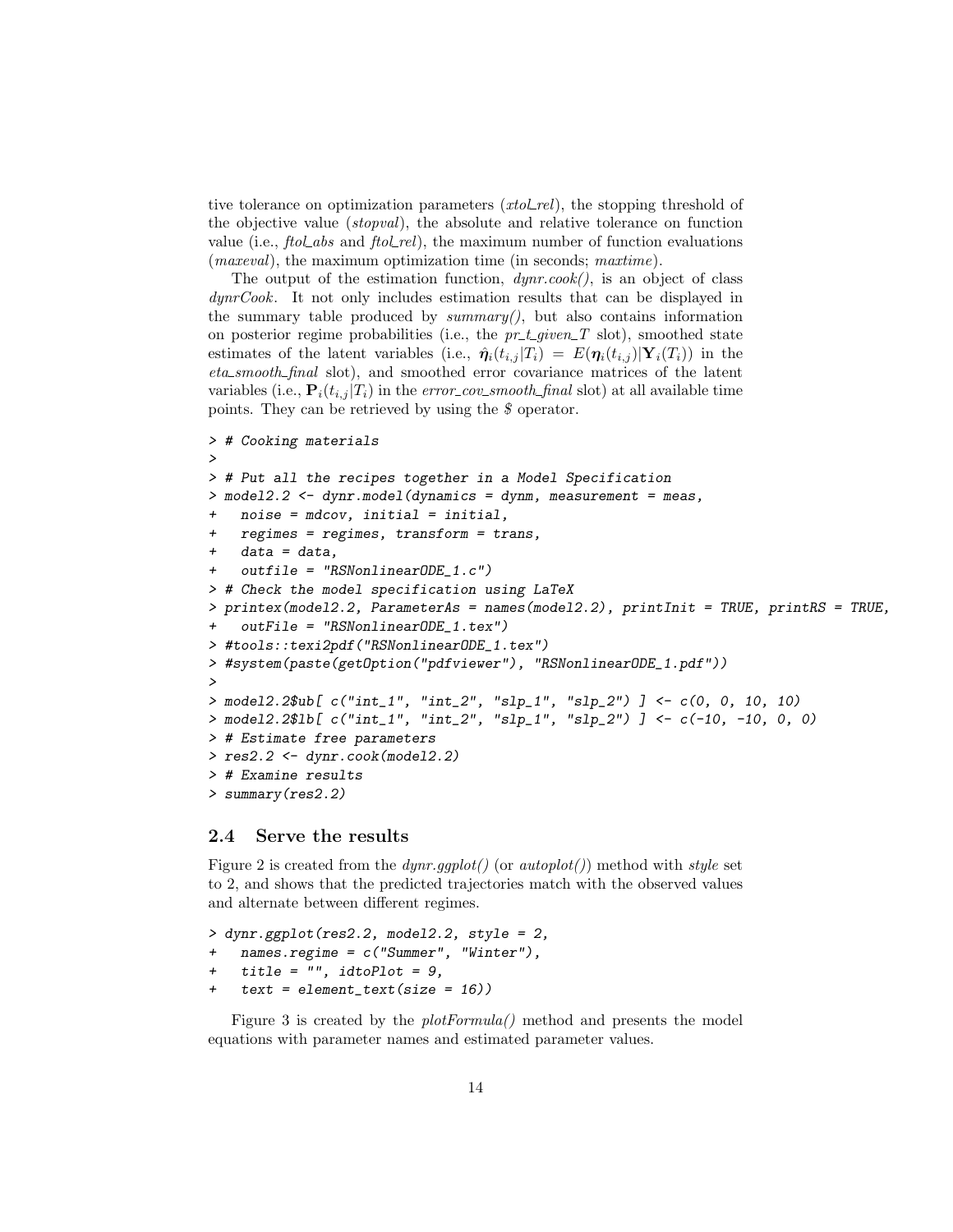tive tolerance on optimization parameters  $(xtol_{rel})$ , the stopping threshold of the objective value (stopval), the absolute and relative tolerance on function value (i.e.,  $fto \& abs$  and  $fto \& rel$ ), the maximum number of function evaluations (*maxeval*), the maximum optimization time (in seconds; *maxtime*).

The output of the estimation function,  $dynr.cook()$ , is an object of class dynrCook. It not only includes estimation results that can be displayed in the summary table produced by  $summary()$ , but also contains information on posterior regime probabilities (i.e., the  $pr_t \text{-} given \text{-} T$  slot), smoothed state estimates of the latent variables (i.e.,  $\hat{\eta}_i(t_{i,j} | T_i) = E(\eta_i(t_{i,j}) | Y_i(T_i))$  in the eta smooth final slot), and smoothed error covariance matrices of the latent variables (i.e.,  $\mathbf{P}_i(t_{i,j} | T_i)$  in the error\_cov\_smooth\_final slot) at all available time points. They can be retrieved by using the \$ operator.

```
> # Cooking materials
>
> # Put all the recipes together in a Model Specification
> model2.2 <- dynr.model(dynamics = dynm, measurement = meas,
    noise = mdcov, initial = initial,
    regimes = regimes, transform = trans,data = data,outfile = "RSNonlinearODE_1.c")> # Check the model specification using LaTeX
> printex(model2.2, ParameterAs = names(model2.2), printInit = TRUE, printRS = TRUE,
    outFile = "RSNonlinearODE_1.text")> #tools::texi2pdf("RSNonlinearODE_1.tex")
> #system(paste(getOption("pdfviewer"), "RSNonlinearODE_1.pdf"))
>
> model2.2$ub[ c("int_1", "int_2", "slp_1", "slp_2") ] <- c(0, 0, 10, 10)
> model2.2$lb[ c("int_1", "int_2", "slp_1", "slp_2") ] <- c(-10, -10, 0, 0)
> # Estimate free parameters
> res2.2 <- dynr.cook(model2.2)
> # Examine results
> summary(res2.2)
```
# 2.4 Serve the results

Figure 2 is created from the  $dynr.ggplot()$  (or  $autoplot()$ ) method with style set to 2, and shows that the predicted trajectories match with the observed values and alternate between different regimes.

```
> dynr.ggplot(res2.2, model2.2, style = 2,
+ names.regime = c("Summer", "Winter"),
+ title = "", idtoPlot = 9,
   text = element_test(size = 16))
```
Figure 3 is created by the plotFormula() method and presents the model equations with parameter names and estimated parameter values.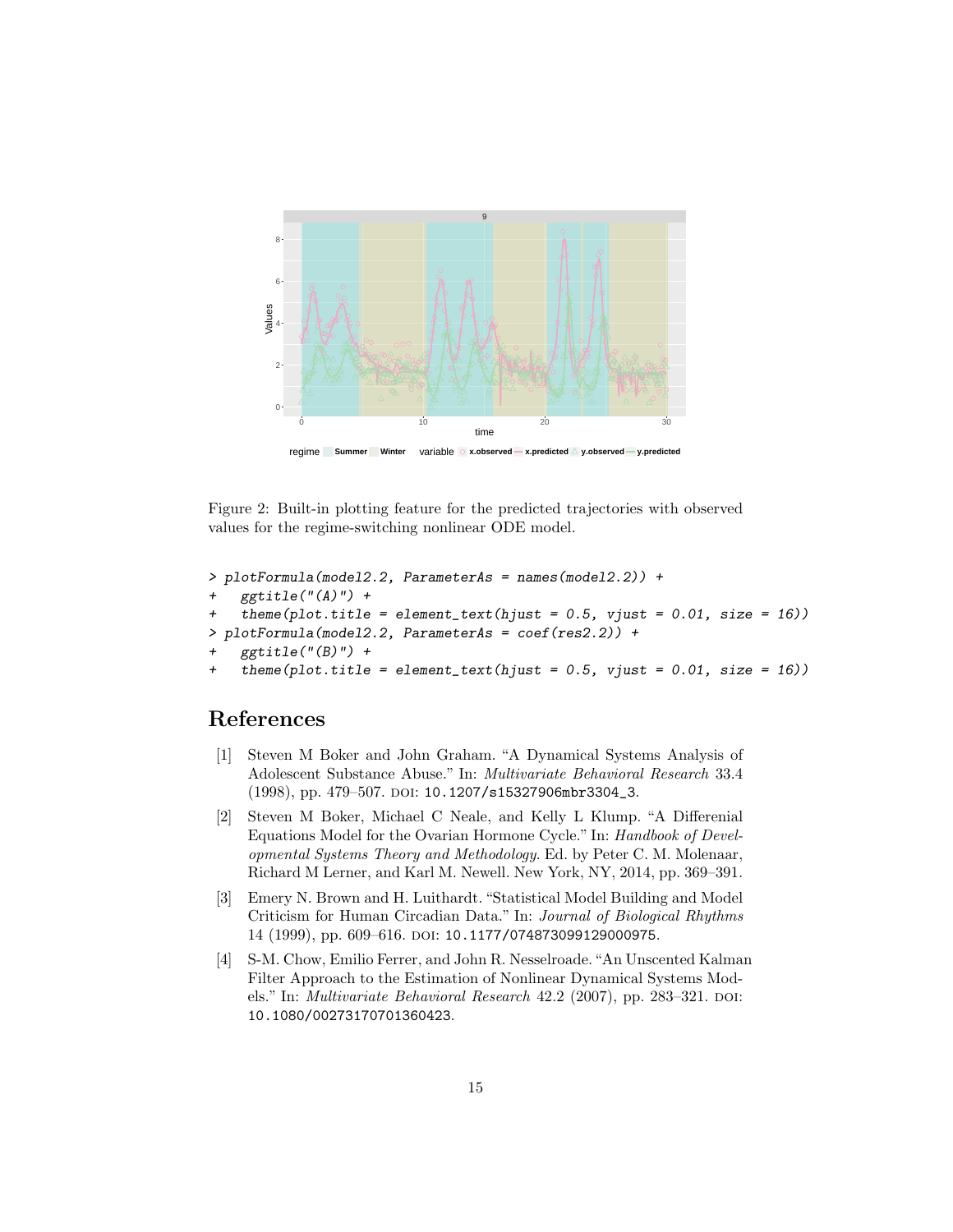

regime **Summer Winter** variable **x.observed x.predicted y.observed y.predicted**

Figure 2: Built-in plotting feature for the predicted trajectories with observed values for the regime-switching nonlinear ODE model.

```
> plotFormula(model2.2, ParameterAs = names(model2.2)) +
   ggtitle("A)" +
    theme(plot.title = element_text(hjust = 0.5, vjust = 0.01, size = 16))
> plotFormula(model2.2, ParameterAs = coef(res2.2)) +
   ggtitle("B)" +
   theme(plot.title = element_text(hjust = 0.5, vjust = 0.01, size = 16))
```
# References

- [1] Steven M Boker and John Graham. "A Dynamical Systems Analysis of Adolescent Substance Abuse." In: Multivariate Behavioral Research 33.4 (1998), pp. 479-507. DOI: 10.1207/s15327906mbr3304\_3.
- [2] Steven M Boker, Michael C Neale, and Kelly L Klump. "A Differenial Equations Model for the Ovarian Hormone Cycle." In: Handbook of Developmental Systems Theory and Methodology. Ed. by Peter C. M. Molenaar, Richard M Lerner, and Karl M. Newell. New York, NY, 2014, pp. 369–391.
- [3] Emery N. Brown and H. Luithardt. "Statistical Model Building and Model Criticism for Human Circadian Data." In: Journal of Biological Rhythms 14 (1999), pp. 609–616. doi: 10.1177/074873099129000975.
- [4] S-M. Chow, Emilio Ferrer, and John R. Nesselroade."An Unscented Kalman Filter Approach to the Estimation of Nonlinear Dynamical Systems Models." In: *Multivariate Behavioral Research*  $42.2$  (2007), pp. 283–321. doi: 10.1080/00273170701360423.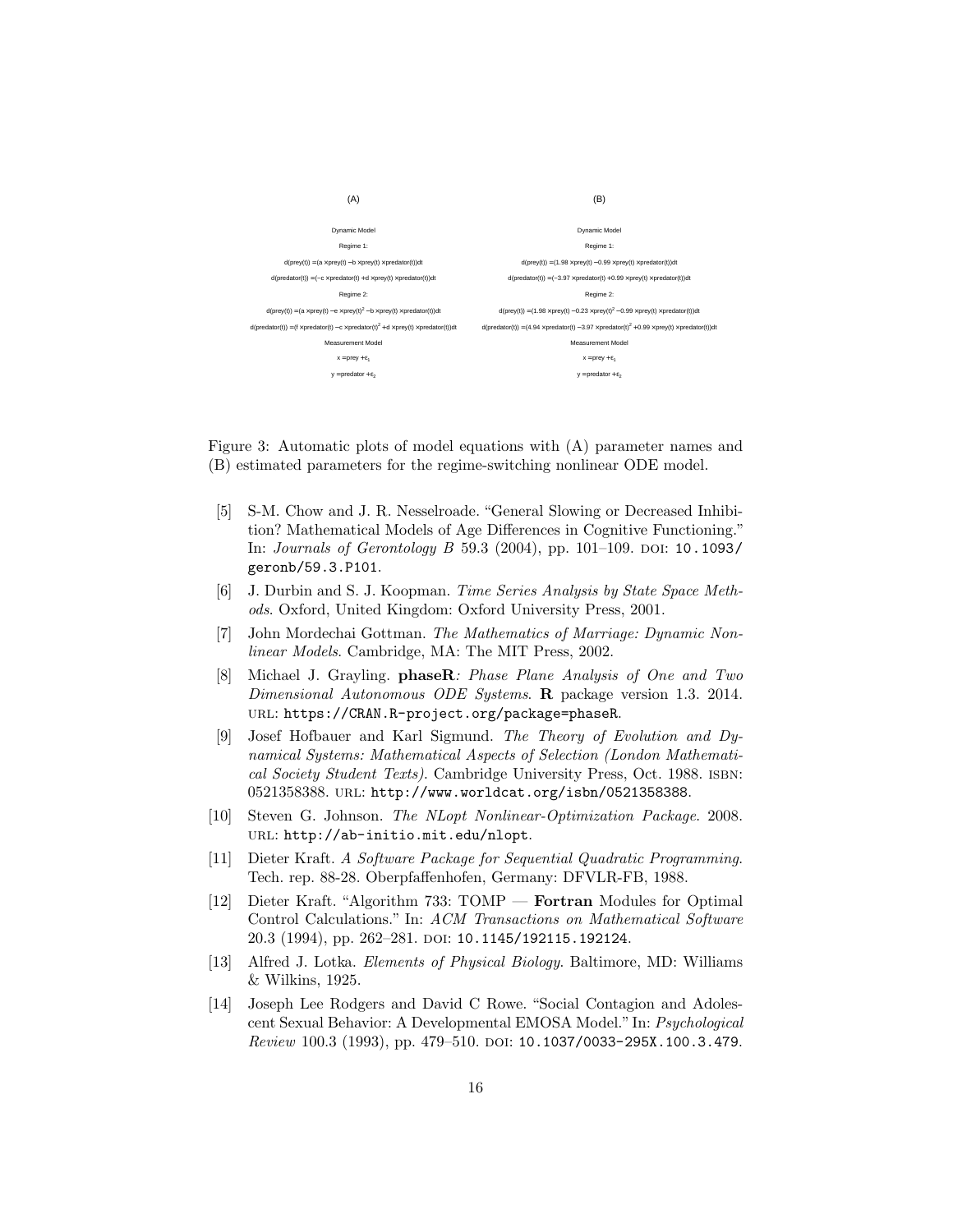

Figure 3: Automatic plots of model equations with (A) parameter names and (B) estimated parameters for the regime-switching nonlinear ODE model.

- [5] S-M. Chow and J. R. Nesselroade. "General Slowing or Decreased Inhibition? Mathematical Models of Age Differences in Cognitive Functioning." In: *Journals of Gerontology B* 59.3 (2004), pp. 101–109. DOI: 10.1093/ geronb/59.3.P101.
- [6] J. Durbin and S. J. Koopman. Time Series Analysis by State Space Methods. Oxford, United Kingdom: Oxford University Press, 2001.
- [7] John Mordechai Gottman. The Mathematics of Marriage: Dynamic Nonlinear Models. Cambridge, MA: The MIT Press, 2002.
- [8] Michael J. Grayling. phaseR: Phase Plane Analysis of One and Two Dimensional Autonomous ODE Systems. R package version 1.3. 2014. url: https://CRAN.R-project.org/package=phaseR.
- [9] Josef Hofbauer and Karl Sigmund. The Theory of Evolution and Dynamical Systems: Mathematical Aspects of Selection (London Mathematical Society Student Texts). Cambridge University Press, Oct. 1988. isbn: 0521358388. url: http://www.worldcat.org/isbn/0521358388.
- [10] Steven G. Johnson. The NLopt Nonlinear-Optimization Package. 2008. url: http://ab-initio.mit.edu/nlopt.
- [11] Dieter Kraft. A Software Package for Sequential Quadratic Programming. Tech. rep. 88-28. Oberpfaffenhofen, Germany: DFVLR-FB, 1988.
- [12] Dieter Kraft. "Algorithm 733: TOMP Fortran Modules for Optimal Control Calculations." In: ACM Transactions on Mathematical Software 20.3 (1994), pp. 262-281. DOI: 10.1145/192115.192124.
- [13] Alfred J. Lotka. Elements of Physical Biology. Baltimore, MD: Williams & Wilkins, 1925.
- [14] Joseph Lee Rodgers and David C Rowe. "Social Contagion and Adolescent Sexual Behavior: A Developmental EMOSA Model." In: Psychological Review 100.3 (1993), pp. 479-510. DOI: 10.1037/0033-295X.100.3.479.